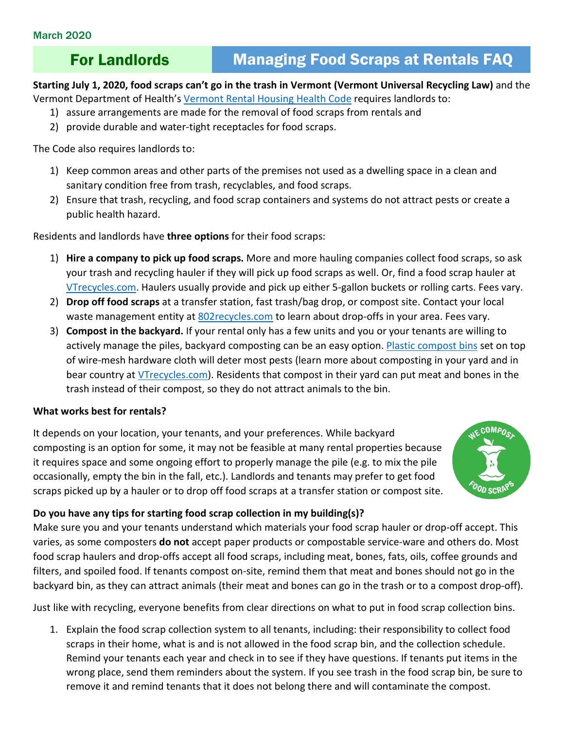# For Landlords Managing Food Scraps at Rentals FAQ

**Starting July 1, 2020, food scraps can't go in the trash in Vermont (Vermont Universal Recycling Law)** and the Vermont Department of Health's [Vermont Rental Housing](https://www.healthvermont.gov/sites/default/files/REG_Rental_Housing_Code.pdf) Health Code requires landlords to:

- 1) assure arrangements are made for the removal of food scraps from rentals and
- 2) provide durable and water-tight receptacles for food scraps.

The Code also requires landlords to:

- 1) Keep common areas and other parts of the premises not used as a dwelling space in a clean and sanitary condition free from trash, recyclables, and food scraps.
- 2) Ensure that trash, recycling, and food scrap containers and systems do not attract pests or create a public health hazard.

Residents and landlords have **three options** for their food scraps:

- 1) **Hire a company to pick up food scraps.** More and more hauling companies collect food scraps, so ask your trash and recycling hauler if they will pick up food scraps as well. Or, find a food scrap hauler at [VTrecycles.com.](http://dec.vermont.gov/sites/dec/files/wmp/SolidWaste/Documents/FoodScrapHaulersSTATEWIDELIST.pdf) Haulers usually provide and pick up either 5-gallon buckets or rolling carts. Fees vary.
- 2) **Drop off food scraps** at a transfer station, fast trash/bag drop, or compost site. Contact your local waste management entity at 802 recycles.com to learn about drop-offs in your area. Fees vary.
- 3) **Compost in the backyard.** If your rental only has a few units and you or your tenants are willing to actively manage the piles, backyard composting can be an easy option. [Plastic compost bins](http://www.cvswmd.org/soilsaver-classic-composter.html) set on top of wire-mesh hardware cloth will deter most pests (learn more about composting in your yard and in bear country at [VTrecycles.com\)](https://dec.vermont.gov/waste-management/solid/materials-mgmt/organic-materials#Backyard%20compost). Residents that compost in their yard can put meat and bones in the trash instead of their compost, so they do not attract animals to the bin.

# **What works best for rentals?**

It depends on your location, your tenants, and your preferences. While backyard composting is an option for some, it may not be feasible at many rental properties because it requires space and some ongoing effort to properly manage the pile (e.g. to mix the pile occasionally, empty the bin in the fall, etc.). Landlords and tenants may prefer to get food scraps picked up by a hauler or to drop off food scraps at a transfer station or compost site.



# **Do you have any tips for starting food scrap collection in my building(s)?**

Make sure you and your tenants understand which materials your food scrap hauler or drop-off accept. This varies, as some composters **do not** accept paper products or compostable service-ware and others do. Most food scrap haulers and drop-offs accept all food scraps, including meat, bones, fats, oils, coffee grounds and filters, and spoiled food. If tenants compost on-site, remind them that meat and bones should not go in the backyard bin, as they can attract animals (their meat and bones can go in the trash or to a compost drop-off).

Just like with recycling, everyone benefits from clear directions on what to put in food scrap collection bins.

1. Explain the food scrap collection system to all tenants, including: their responsibility to collect food scraps in their home, what is and is not allowed in the food scrap bin, and the collection schedule. Remind your tenants each year and check in to see if they have questions. If tenants put items in the wrong place, send them reminders about the system. If you see trash in the food scrap bin, be sure to remove it and remind tenants that it does not belong there and will contaminate the compost.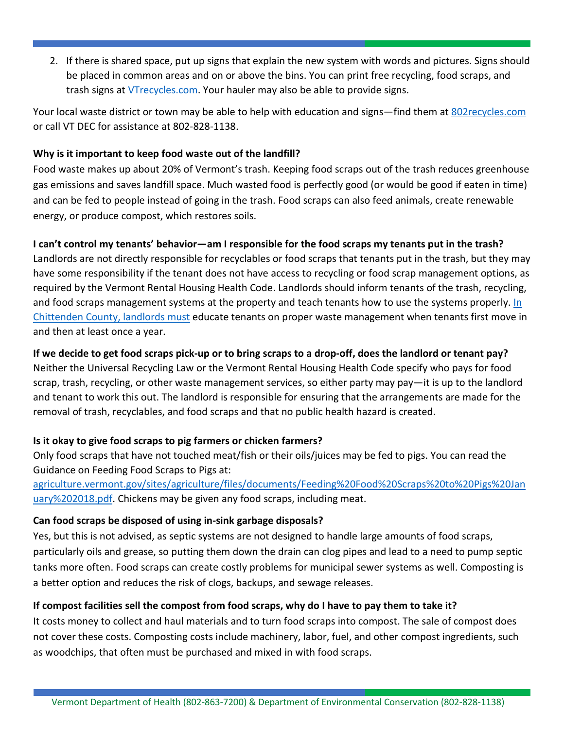2. If there is shared space, put up signs that explain the new system with words and pictures. Signs should be placed in common areas and on or above the bins. You can print free recycling, food scraps, and trash signs at [VTrecycles.com.](http://vtrecycles.com/) Your hauler may also be able to provide signs.

Your local waste district or town may be able to help with education and signs—find them at [802recycles.com](http://802recycles.com/) or call VT DEC for assistance at 802-828-1138.

# **Why is it important to keep food waste out of the landfill?**

Food waste makes up about 20% of Vermont's trash. Keeping food scraps out of the trash reduces greenhouse gas emissions and saves landfill space. Much wasted food is perfectly good (or would be good if eaten in time) and can be fed to people instead of going in the trash. Food scraps can also feed animals, create renewable energy, or produce compost, which restores soils.

# **I can't control my tenants' behavior—am I responsible for the food scraps my tenants put in the trash?**

Landlords are not directly responsible for recyclables or food scraps that tenants put in the trash, but they may have some responsibility if the tenant does not have access to recycling or food scrap management options, as required by the Vermont Rental Housing Health Code. Landlords should inform tenants of the trash, recycling, and food scraps management systems at the property and teach tenants how to use the systems properly. [In](https://cswd.net/outreach-education/landlords/) Chittenden [County, landlords must](https://cswd.net/outreach-education/landlords/) educate tenants on proper waste management when tenants first move in and then at least once a year.

# **If we decide to get food scraps pick-up or to bring scraps to a drop-off, does the landlord or tenant pay?**

Neither the Universal Recycling Law or the Vermont Rental Housing Health Code specify who pays for food scrap, trash, recycling, or other waste management services, so either party may pay—it is up to the landlord and tenant to work this out. The landlord is responsible for ensuring that the arrangements are made for the removal of trash, recyclables, and food scraps and that no public health hazard is created.

# **Is it okay to give food scraps to pig farmers or chicken farmers?**

Only food scraps that have not touched meat/fish or their oils/juices may be fed to pigs. You can read the Guidance on Feeding Food Scraps to Pigs at:

[agriculture.vermont.gov/sites/agriculture/files/documents/Feeding%20Food%20Scraps%20to%20Pigs%20Jan](https://agriculture.vermont.gov/sites/agriculture/files/documents/Feeding%20Food%20Scraps%20to%20Pigs%20January%202018.pdf) [uary%202018.pdf.](https://agriculture.vermont.gov/sites/agriculture/files/documents/Feeding%20Food%20Scraps%20to%20Pigs%20January%202018.pdf) Chickens may be given any food scraps, including meat.

# **Can food scraps be disposed of using in-sink garbage disposals?**

Yes, but this is not advised, as septic systems are not designed to handle large amounts of food scraps, particularly oils and grease, so putting them down the drain can clog pipes and lead to a need to pump septic tanks more often. Food scraps can create costly problems for municipal sewer systems as well. Composting is a better option and reduces the risk of clogs, backups, and sewage releases.

# **If compost facilities sell the compost from food scraps, why do I have to pay them to take it?**

It costs money to collect and haul materials and to turn food scraps into compost. The sale of compost does not cover these costs. Composting costs include machinery, labor, fuel, and other compost ingredients, such as woodchips, that often must be purchased and mixed in with food scraps.